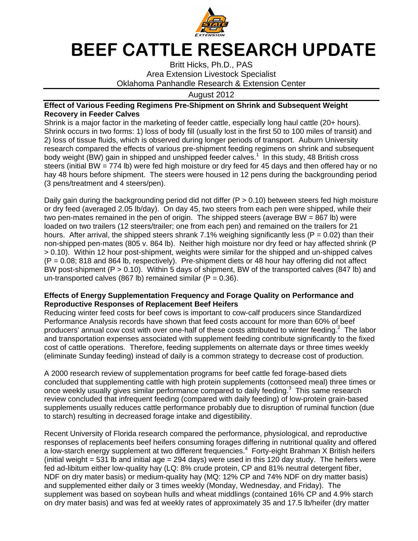

## BEEF CATTLE RESEARCH UPDATE

Britt Hicks, Ph.D., PAS Area Extension Livestock Specialist Oklahoma Panhandle Research & Extension Center

August 2012

## **Effect of Various Feeding Regimens Pre-Shipment on Shrink and Subsequent Weight Recovery in Feeder Calves**

Shrink is a major factor in the marketing of feeder cattle, especially long haul cattle (20+ hours). Shrink occurs in two forms: 1) loss of body fill (usually lost in the first 50 to 100 miles of transit) and 2) loss of tissue fluids, which is observed during longer periods of transport. Auburn University research compared the effects of various pre-shipment feeding regimens on shrink and subsequent body weight (BW) gain in shipped and unshipped feeder calves.<sup>1</sup> In this study, 48 British cross steers (initial BW = 774 lb) were fed high moisture or dry feed for 45 days and then offered hay or no hay 48 hours before shipment. The steers were housed in 12 pens during the backgrounding period (3 pens/treatment and 4 steers/pen).

Daily gain during the backgrounding period did not differ ( $P > 0.10$ ) between steers fed high moisture or dry feed (averaged 2.05 lb/day). On day 45, two steers from each pen were shipped, while their two pen-mates remained in the pen of origin. The shipped steers (average BW = 867 lb) were loaded on two trailers (12 steers/trailer; one from each pen) and remained on the trailers for 21 hours. After arrival, the shipped steers shrank 7.1% weighing significantly less ( $P = 0.02$ ) than their non-shipped pen-mates (805 v. 864 lb). Neither high moisture nor dry feed or hay affected shrink (P > 0.10). Within 12 hour post-shipment, weights were similar for the shipped and un-shipped calves  $(P = 0.08; 818$  and 864 lb, respectively). Pre-shipment diets or 48 hour hay offering did not affect BW post-shipment (P > 0.10). Within 5 days of shipment, BW of the transported calves (847 lb) and un-transported calves (867 lb) remained similar ( $P = 0.36$ ).

## **Effects of Energy Supplementation Frequency and Forage Quality on Performance and Reproductive Responses of Replacement Beef Heifers**

Reducing winter feed costs for beef cows is important to cow-calf producers since Standardized Performance Analysis records have shown that feed costs account for more than 60% of beef producers' annual cow cost with over one-half of these costs attributed to winter feeding.<sup>2</sup> The labor and transportation expenses associated with supplement feeding contribute significantly to the fixed cost of cattle operations. Therefore, feeding supplements on alternate days or three times weekly (eliminate Sunday feeding) instead of daily is a common strategy to decrease cost of production.

A 2000 research review of supplementation programs for beef cattle fed forage-based diets concluded that supplementing cattle with high protein supplements (cottonseed meal) three times or once weekly usually gives similar performance compared to daily feeding. $3$  This same research review concluded that infrequent feeding (compared with daily feeding) of low-protein grain-based supplements usually reduces cattle performance probably due to disruption of ruminal function (due to starch) resulting in decreased forage intake and digestibility.

Recent University of Florida research compared the performance, physiological, and reproductive responses of replacements beef heifers consuming forages differing in nutritional quality and offered a low-starch energy supplement at two different frequencies.<sup>4</sup> Forty-eight Brahman X British heifers (initial weight = 531 lb and initial age = 294 days) were used in this 120 day study. The heifers were fed ad-libitum either low-quality hay (LQ: 8% crude protein, CP and 81% neutral detergent fiber, NDF on dry mater basis) or medium-quality hay (MQ: 12% CP and 74% NDF on dry matter basis) and supplemented either daily or 3 times weekly (Monday, Wednesday, and Friday). The supplement was based on soybean hulls and wheat middlings (contained 16% CP and 4.9% starch on dry mater basis) and was fed at weekly rates of approximately 35 and 17.5 lb/heifer (dry matter